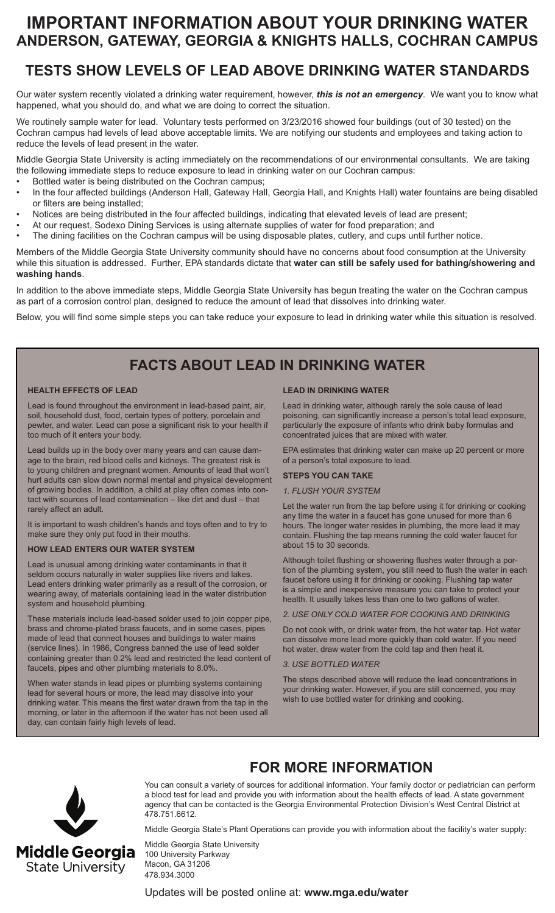# **IMPORTANT INFORMATION ABOUT YOUR DRINKING WATER ANDERSON, GATEWAY, GEORGIA & KNIGHTS HALLS, COCHRAN CAMPUS**

## **TESTS SHOW LEVELS OF LEAD ABOVE DRINKING WATER STANDARDS**

Our water system recently violated a drinking water requirement, however, *this is not an emergency*. We want you to know what happened, what you should do, and what we are doing to correct the situation.

We routinely sample water for lead. Voluntary tests performed on 3/23/2016 showed four buildings (out of 30 tested) on the Cochran campus had levels of lead above acceptable limits. We are notifying our students and employees and taking action to reduce the levels of lead present in the water.

Middle Georgia State University is acting immediately on the recommendations of our environmental consultants. We are taking the following immediate steps to reduce exposure to lead in drinking water on our Cochran campus:

- Bottled water is being distributed on the Cochran campus;
- In the four affected buildings (Anderson Hall, Gateway Hall, Georgia Hall, and Knights Hall) water fountains are being disabled or filters are being installed;
- Notices are being distributed in the four affected buildings, indicating that elevated levels of lead are present;
- At our request, Sodexo Dining Services is using alternate supplies of water for food preparation; and
- The dining facilities on the Cochran campus will be using disposable plates, cutlery, and cups until further notice.

Members of the Middle Georgia State University community should have no concerns about food consumption at the University while this situation is addressed. Further, EPA standards dictate that **water can still be safely used for bathing/showering and washing hands**.

In addition to the above immediate steps, Middle Georgia State University has begun treating the water on the Cochran campus as part of a corrosion control plan, designed to reduce the amount of lead that dissolves into drinking water.

Below, you will find some simple steps you can take reduce your exposure to lead in drinking water while this situation is resolved.

## **FACTS ABOUT LEAD IN DRINKING WATER**

#### **HEALTH EFFECTS OF LEAD**

Lead is found throughout the environment in lead-based paint, air, soil, household dust, food, certain types of pottery, porcelain and pewter, and water. Lead can pose a significant risk to your health if too much of it enters your body.

Lead builds up in the body over many years and can cause damage to the brain, red blood cells and kidneys. The greatest risk is to young children and pregnant women. Amounts of lead that won't hurt adults can slow down normal mental and physical development of growing bodies. In addition, a child at play often comes into contact with sources of lead contamination – like dirt and dust – that rarely affect an adult.

It is important to wash children's hands and toys often and to try to make sure they only put food in their mouths.

#### **HOW LEAD ENTERS OUR WATER SYSTEM**

Lead is unusual among drinking water contaminants in that it seldom occurs naturally in water supplies like rivers and lakes. Lead enters drinking water primarily as a result of the corrosion, or wearing away, of materials containing lead in the water distribution system and household plumbing.

These materials include lead-based solder used to join copper pipe, brass and chrome-plated brass faucets, and in some cases, pipes made of lead that connect houses and buildings to water mains (service lines). In 1986, Congress banned the use of lead solder containing greater than 0.2% lead and restricted the lead content of faucets, pipes and other plumbing materials to 8.0%.

When water stands in lead pipes or plumbing systems containing lead for several hours or more, the lead may dissolve into your drinking water. This means the first water drawn from the tap in the morning, or later in the afternoon if the water has not been used all day, can contain fairly high levels of lead.

#### **LEAD IN DRINKING WATER**

Lead in drinking water, although rarely the sole cause of lead poisoning, can significantly increase a person's total lead exposure, particularly the exposure of infants who drink baby formulas and concentrated juices that are mixed with water.

EPA estimates that drinking water can make up 20 percent or more of a person's total exposure to lead.

#### **STEPS YOU CAN TAKE**

#### *1. FLUSH YOUR SYSTEM*

Let the water run from the tap before using it for drinking or cooking any time the water in a faucet has gone unused for more than 6 hours. The longer water resides in plumbing, the more lead it may contain. Flushing the tap means running the cold water faucet for about 15 to 30 seconds.

Although toilet flushing or showering flushes water through a portion of the plumbing system, you still need to flush the water in each faucet before using it for drinking or cooking. Flushing tap water is a simple and inexpensive measure you can take to protect your health. It usually takes less than one to two gallons of water.

*2. USE ONLY COLD WATER FOR COOKING AND DRINKING*

Do not cook with, or drink water from, the hot water tap. Hot water can dissolve more lead more quickly than cold water. If you need hot water, draw water from the cold tap and then heat it.

#### *3. USE BOTTLED WATER*

The steps described above will reduce the lead concentrations in your drinking water. However, if you are still concerned, you may wish to use bottled water for drinking and cooking.



Middle Georgia **State University** 

You can consult a variety of sources for additional information. Your family doctor or pediatrician can perform a blood test for lead and provide you with information about the health effects of lead. A state government agency that can be contacted is the Georgia Environmental Protection Division's West Central District at 478.751.6612.

Middle Georgia State's Plant Operations can provide you with information about the facility's water supply:

Middle Georgia State University 100 University Parkway Macon, GA 31206 478.934.3000

Updates will be posted online at: **www.mga.edu/water**